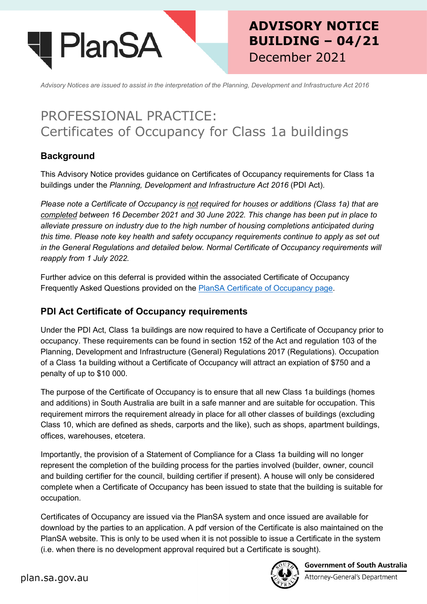

# **ADVISORY NOTICE BUILDING – 04/21** December 2021

*Advisory Notices are issued to assist in the interpretation of the Planning, Development and Infrastructure Act 2016*

# PROFESSIONAL PRACTICE: Certificates of Occupancy for Class 1a buildings

# **Background**

This Advisory Notice provides guidance on Certificates of Occupancy requirements for Class 1a buildings under the *Planning, Development and Infrastructure Act 2016* (PDI Act).

*Please note a Certificate of Occupancy is not required for houses or additions (Class 1a) that are completed between 16 December 2021 and 30 June 2022. This change has been put in place to alleviate pressure on industry due to the high number of housing completions anticipated during this time. Please note key health and safety occupancy requirements continue to apply as set out in the General Regulations and detailed below. Normal Certificate of Occupancy requirements will reapply from 1 July 2022.*

Further advice on this deferral is provided within the associated Certificate of Occupancy Frequently Asked Questions provided on the [PlanSA Certificate of Occupancy page.](https://plan.sa.gov.au/resources/building/certificates_of_occupancy)

# **PDI Act Certificate of Occupancy requirements**

Under the PDI Act, Class 1a buildings are now required to have a Certificate of Occupancy prior to occupancy. These requirements can be found in section 152 of the Act and regulation 103 of the Planning, Development and Infrastructure (General) Regulations 2017 (Regulations). Occupation of a Class 1a building without a Certificate of Occupancy will attract an expiation of \$750 and a penalty of up to \$10 000.

The purpose of the Certificate of Occupancy is to ensure that all new Class 1a buildings (homes and additions) in South Australia are built in a safe manner and are suitable for occupation. This requirement mirrors the requirement already in place for all other classes of buildings (excluding Class 10, which are defined as sheds, carports and the like), such as shops, apartment buildings, offices, warehouses, etcetera.

Importantly, the provision of a Statement of Compliance for a Class 1a building will no longer represent the completion of the building process for the parties involved (builder, owner, council and building certifier for the council, building certifier if present). A house will only be considered complete when a Certificate of Occupancy has been issued to state that the building is suitable for occupation.

Certificates of Occupancy are issued via the PlanSA system and once issued are available for download by the parties to an application. A pdf version of the Certificate is also maintained on the PlanSA website. This is only to be used when it is not possible to issue a Certificate in the system (i.e. when there is no development approval required but a Certificate is sought).



**Government of South Australia**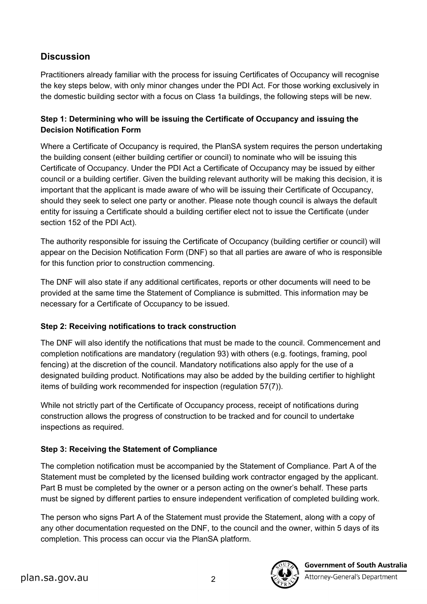# **Discussion**

Practitioners already familiar with the process for issuing Certificates of Occupancy will recognise the key steps below, with only minor changes under the PDI Act. For those working exclusively in the domestic building sector with a focus on Class 1a buildings, the following steps will be new.

### **Step 1: Determining who will be issuing the Certificate of Occupancy and issuing the Decision Notification Form**

Where a Certificate of Occupancy is required, the PlanSA system requires the person undertaking the building consent (either building certifier or council) to nominate who will be issuing this Certificate of Occupancy. Under the PDI Act a Certificate of Occupancy may be issued by either council or a building certifier. Given the building relevant authority will be making this decision, it is important that the applicant is made aware of who will be issuing their Certificate of Occupancy, should they seek to select one party or another. Please note though council is always the default entity for issuing a Certificate should a building certifier elect not to issue the Certificate (under section 152 of the PDI Act).

The authority responsible for issuing the Certificate of Occupancy (building certifier or council) will appear on the Decision Notification Form (DNF) so that all parties are aware of who is responsible for this function prior to construction commencing.

The DNF will also state if any additional certificates, reports or other documents will need to be provided at the same time the Statement of Compliance is submitted. This information may be necessary for a Certificate of Occupancy to be issued.

#### **Step 2: Receiving notifications to track construction**

The DNF will also identify the notifications that must be made to the council. Commencement and completion notifications are mandatory (regulation 93) with others (e.g. footings, framing, pool fencing) at the discretion of the council. Mandatory notifications also apply for the use of a designated building product. Notifications may also be added by the building certifier to highlight items of building work recommended for inspection (regulation 57(7)).

While not strictly part of the Certificate of Occupancy process, receipt of notifications during construction allows the progress of construction to be tracked and for council to undertake inspections as required.

#### **Step 3: Receiving the Statement of Compliance**

The completion notification must be accompanied by the Statement of Compliance. Part A of the Statement must be completed by the licensed building work contractor engaged by the applicant. Part B must be completed by the owner or a person acting on the owner's behalf. These parts must be signed by different parties to ensure independent verification of completed building work.

The person who signs Part A of the Statement must provide the Statement, along with a copy of any other documentation requested on the DNF, to the council and the owner, within 5 days of its completion. This process can occur via the PlanSA platform.

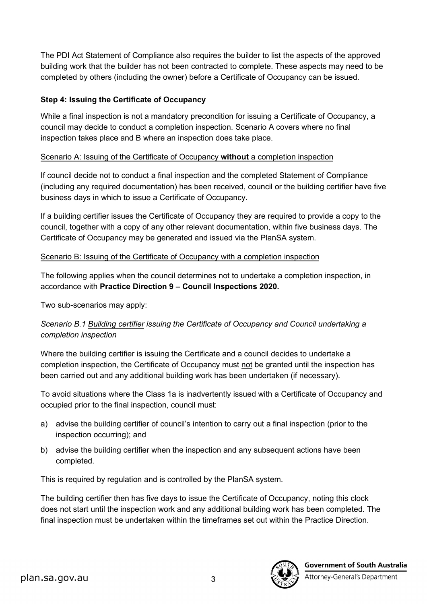The PDI Act Statement of Compliance also requires the builder to list the aspects of the approved building work that the builder has not been contracted to complete. These aspects may need to be completed by others (including the owner) before a Certificate of Occupancy can be issued.

#### **Step 4: Issuing the Certificate of Occupancy**

While a final inspection is not a mandatory precondition for issuing a Certificate of Occupancy, a council may decide to conduct a completion inspection. Scenario A covers where no final inspection takes place and B where an inspection does take place.

#### Scenario A: Issuing of the Certificate of Occupancy **without** a completion inspection

If council decide not to conduct a final inspection and the completed Statement of Compliance (including any required documentation) has been received, council or the building certifier have five business days in which to issue a Certificate of Occupancy.

If a building certifier issues the Certificate of Occupancy they are required to provide a copy to the council, together with a copy of any other relevant documentation, within five business days. The Certificate of Occupancy may be generated and issued via the PlanSA system.

#### Scenario B: Issuing of the Certificate of Occupancy with a completion inspection

The following applies when the council determines not to undertake a completion inspection, in accordance with **Practice Direction 9 – Council Inspections 2020.** 

Two sub-scenarios may apply:

#### *Scenario B.1 Building certifier issuing the Certificate of Occupancy and Council undertaking a completion inspection*

Where the building certifier is issuing the Certificate and a council decides to undertake a completion inspection, the Certificate of Occupancy must not be granted until the inspection has been carried out and any additional building work has been undertaken (if necessary).

To avoid situations where the Class 1a is inadvertently issued with a Certificate of Occupancy and occupied prior to the final inspection, council must:

- a) advise the building certifier of council's intention to carry out a final inspection (prior to the inspection occurring); and
- b) advise the building certifier when the inspection and any subsequent actions have been completed.

This is required by regulation and is controlled by the PlanSA system.

The building certifier then has five days to issue the Certificate of Occupancy, noting this clock does not start until the inspection work and any additional building work has been completed. The final inspection must be undertaken within the timeframes set out within the Practice Direction.